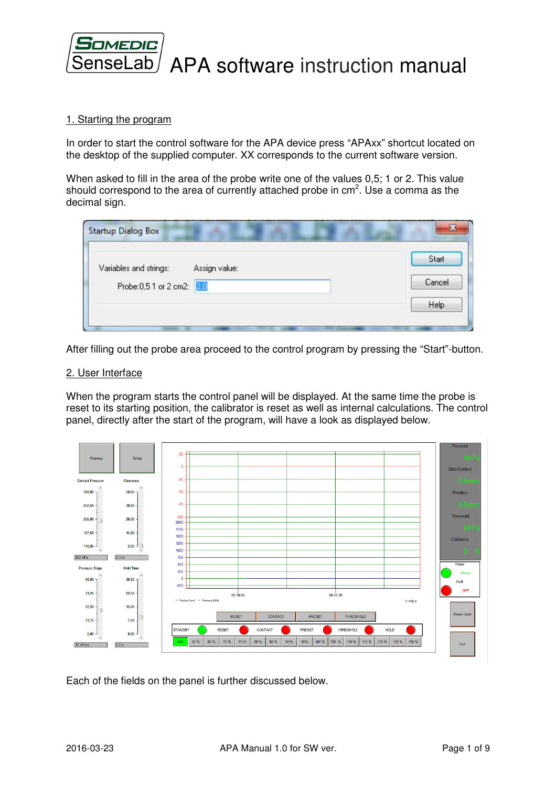

### 1. Starting the program

In order to start the control software for the APA device press "APAxx" shortcut located on the desktop of the supplied computer. XX corresponds to the current software version.

When asked to fill in the area of the probe write one of the values 0,5; 1 or 2. This value should correspond to the area of currently attached probe in  $cm<sup>2</sup>$ . Use a comma as the decimal sign.

| Variables and strings:     | Assign value: | Start  |
|----------------------------|---------------|--------|
| Probe: 0,5.1 or 2 cm2: 2,0 |               | Cancel |
|                            |               | Help   |

After filling out the probe area proceed to the control program by pressing the "Start"-button.

#### 2. User Interface

When the program starts the control panel will be displayed. At the same time the probe is reset to its starting position, the calibrator is reset as well as internal calculations. The control panel, directly after the start of the program, will have a look as displayed below.



Each of the fields on the panel is further discussed below.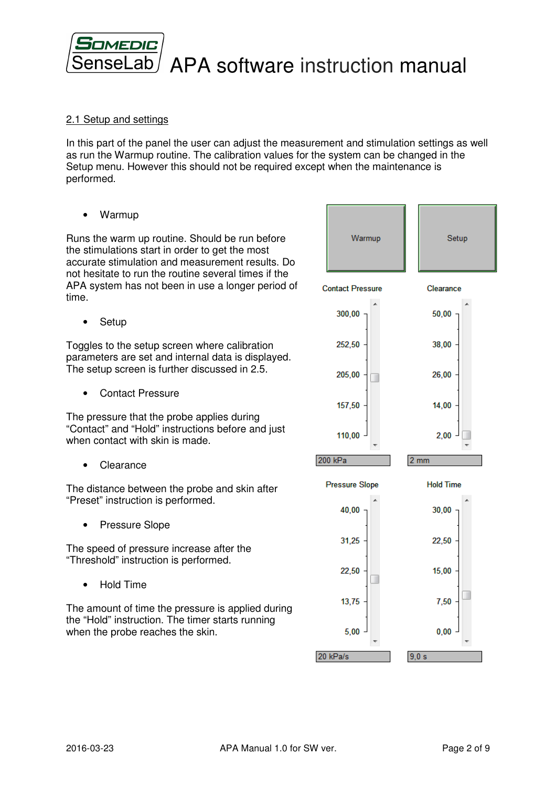

## 2.1 Setup and settings

In this part of the panel the user can adjust the measurement and stimulation settings as well as run the Warmup routine. The calibration values for the system can be changed in the Setup menu. However this should not be required except when the maintenance is performed.

• Warmup

Runs the warm up routine. Should be run before the stimulations start in order to get the most accurate stimulation and measurement results. Do not hesitate to run the routine several times if the APA system has not been in use a longer period of time.

**Setup** 

Toggles to the setup screen where calibration parameters are set and internal data is displayed. The setup screen is further discussed in 2.5.

• Contact Pressure

The pressure that the probe applies during "Contact" and "Hold" instructions before and just when contact with skin is made.

**Clearance** 

The distance between the probe and skin after "Preset" instruction is performed.

• Pressure Slope

The speed of pressure increase after the "Threshold" instruction is performed.

• Hold Time

The amount of time the pressure is applied during the "Hold" instruction. The timer starts running when the probe reaches the skin.

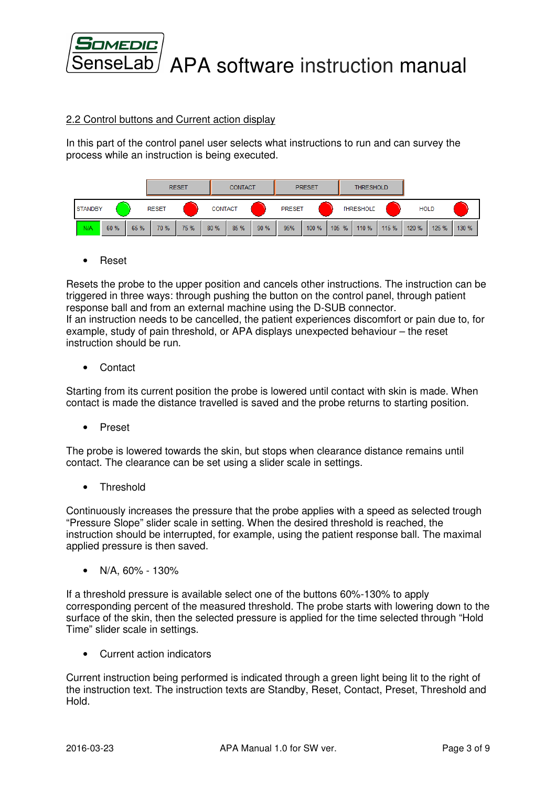

# 2.2 Control buttons and Current action display

In this part of the control panel user selects what instructions to run and can survey the process while an instruction is being executed.

| <b>RESET</b> |                |      | <b>CONTACT</b> |              |      | <b>PRESET</b>  |      | <b>THRESHOLD</b> |               |       |       |                  |       |             |       |       |
|--------------|----------------|------|----------------|--------------|------|----------------|------|------------------|---------------|-------|-------|------------------|-------|-------------|-------|-------|
|              | <b>STANDBY</b> |      |                | <b>RESET</b> |      | <b>CONTACT</b> |      |                  | <b>PRESET</b> |       |       | <b>THRESHOLD</b> |       | <b>HOLD</b> |       |       |
|              | N/A            | 60 % | 65 %           | 70 %         | 75 % | 80 %           | 85 % | 90%              | 95%           | 100 % | 105 % | 110 %            | 115 % | 120 %       | 125 % | 130 % |

• Reset

Resets the probe to the upper position and cancels other instructions. The instruction can be triggered in three ways: through pushing the button on the control panel, through patient response ball and from an external machine using the D-SUB connector. If an instruction needs to be cancelled, the patient experiences discomfort or pain due to, for example, study of pain threshold, or APA displays unexpected behaviour – the reset instruction should be run.

• Contact

Starting from its current position the probe is lowered until contact with skin is made. When contact is made the distance travelled is saved and the probe returns to starting position.

• Preset

The probe is lowered towards the skin, but stops when clearance distance remains until contact. The clearance can be set using a slider scale in settings.

• Threshold

Continuously increases the pressure that the probe applies with a speed as selected trough "Pressure Slope" slider scale in setting. When the desired threshold is reached, the instruction should be interrupted, for example, using the patient response ball. The maximal applied pressure is then saved.

• N/A, 60% - 130%

If a threshold pressure is available select one of the buttons 60%-130% to apply corresponding percent of the measured threshold. The probe starts with lowering down to the surface of the skin, then the selected pressure is applied for the time selected through "Hold Time" slider scale in settings.

• Current action indicators

Current instruction being performed is indicated through a green light being lit to the right of the instruction text. The instruction texts are Standby, Reset, Contact, Preset, Threshold and Hold.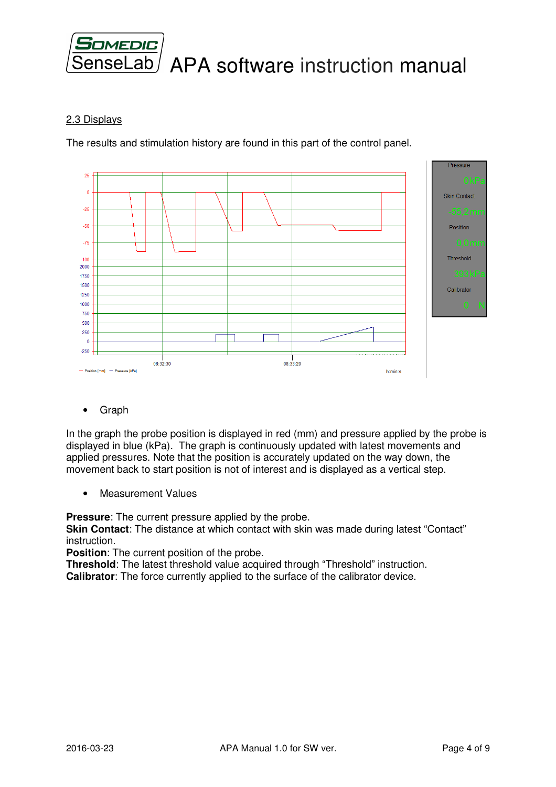

## 2.3 Displays

The results and stimulation history are found in this part of the control panel.



• Graph

In the graph the probe position is displayed in red (mm) and pressure applied by the probe is displayed in blue (kPa). The graph is continuously updated with latest movements and applied pressures. Note that the position is accurately updated on the way down, the movement back to start position is not of interest and is displayed as a vertical step.

• Measurement Values

**Pressure**: The current pressure applied by the probe.

**Skin Contact**: The distance at which contact with skin was made during latest "Contact" instruction.

**Position**: The current position of the probe.

**Threshold**: The latest threshold value acquired through "Threshold" instruction. **Calibrator**: The force currently applied to the surface of the calibrator device.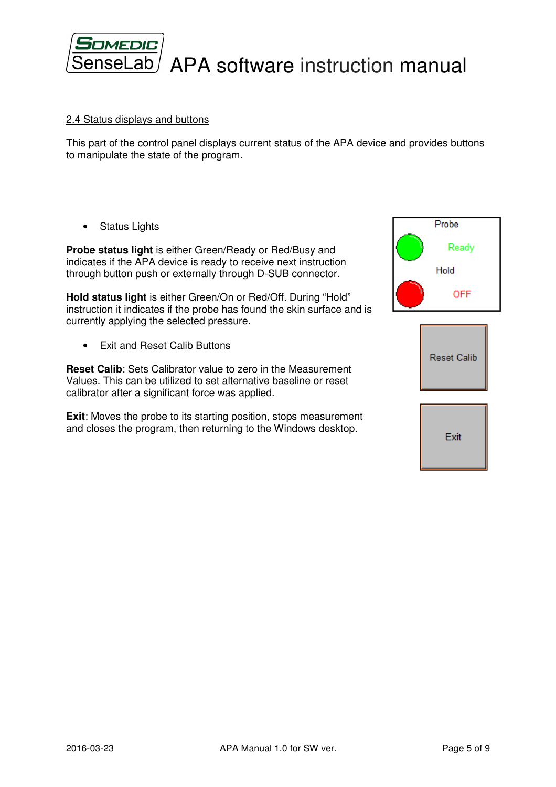

### 2.4 Status displays and buttons

This part of the control panel displays current status of the APA device and provides buttons to manipulate the state of the program.

• Status Lights

**Probe status light** is either Green/Ready or Red/Busy and indicates if the APA device is ready to receive next instruction through button push or externally through D-SUB connector.

**Hold status light** is either Green/On or Red/Off. During "Hold" instruction it indicates if the probe has found the skin surface and is currently applying the selected pressure.

• Exit and Reset Calib Buttons

**Reset Calib**: Sets Calibrator value to zero in the Measurement Values. This can be utilized to set alternative baseline or reset calibrator after a significant force was applied.

**Exit:** Moves the probe to its starting position, stops measurement and closes the program, then returning to the Windows desktop.

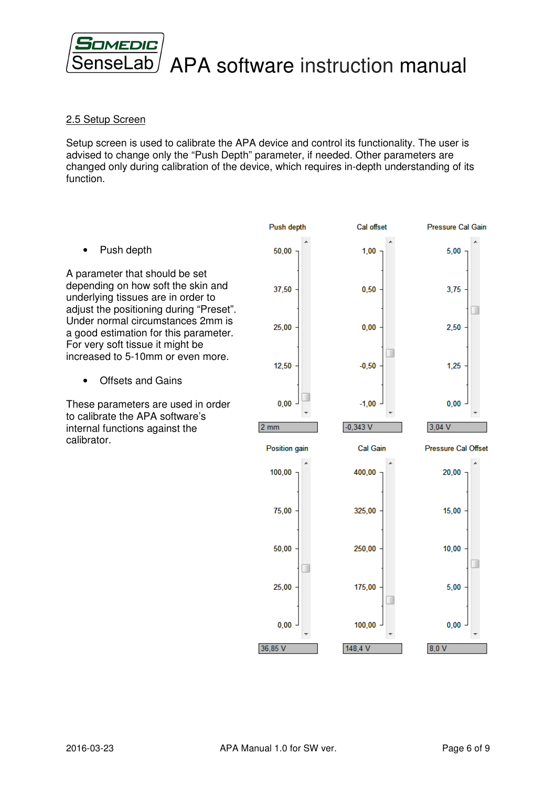

# 2.5 Setup Screen

Setup screen is used to calibrate the APA device and control its functionality. The user is advised to change only the "Push Depth" parameter, if needed. Other parameters are changed only during calibration of the device, which requires in-depth understanding of its function.

• Push depth

A parameter that should be set depending on how soft the skin and underlying tissues are in order to adjust the positioning during "Preset". Under normal circumstances 2mm is a good estimation for this parameter. For very soft tissue it might be increased to 5-10mm or even more.

• Offsets and Gains

These parameters are used in order to calibrate the APA software's internal functions against the calibrator.

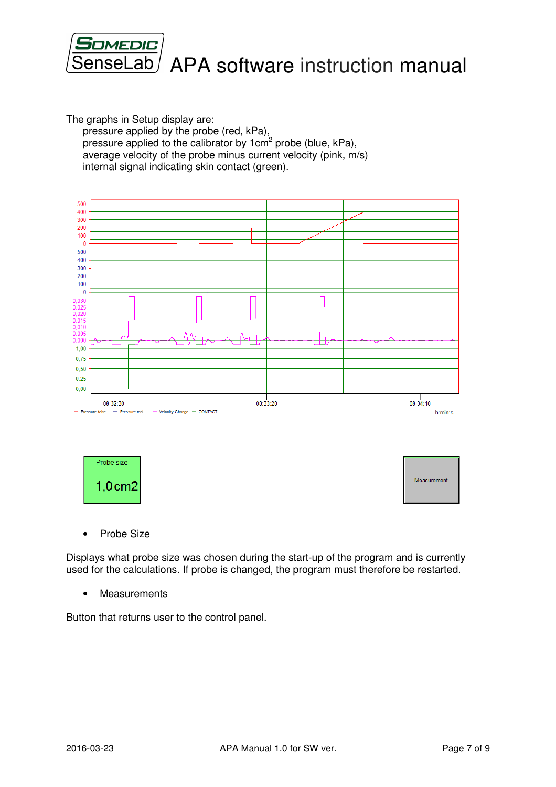

The graphs in Setup display are:

pressure applied by the probe (red, kPa), pressure applied to the calibrator by 1 $\text{cm}^2$  probe (blue, kPa), average velocity of the probe minus current velocity (pink, m/s) internal signal indicating skin contact (green).





Measurement

• Probe Size

Displays what probe size was chosen during the start-up of the program and is currently used for the calculations. If probe is changed, the program must therefore be restarted.

• Measurements

Button that returns user to the control panel.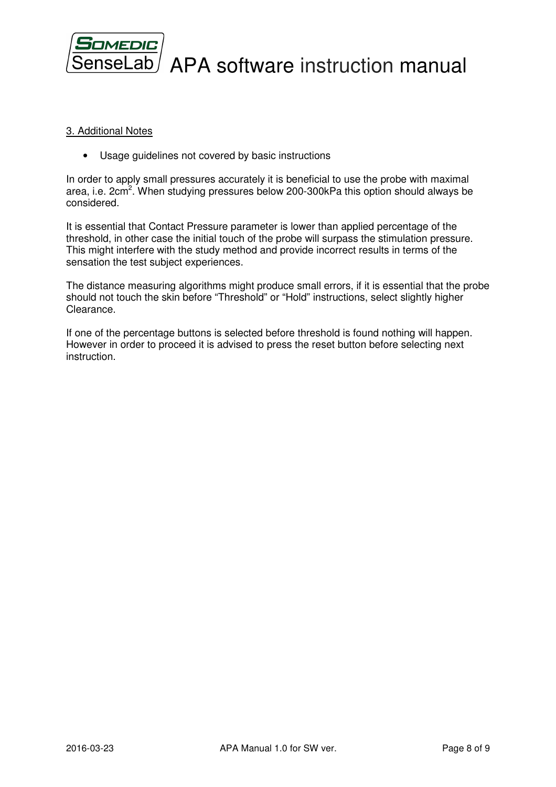

### 3. Additional Notes

• Usage guidelines not covered by basic instructions

In order to apply small pressures accurately it is beneficial to use the probe with maximal area, i.e. 2cm<sup>2</sup>. When studying pressures below 200-300kPa this option should always be considered.

It is essential that Contact Pressure parameter is lower than applied percentage of the threshold, in other case the initial touch of the probe will surpass the stimulation pressure. This might interfere with the study method and provide incorrect results in terms of the sensation the test subject experiences.

The distance measuring algorithms might produce small errors, if it is essential that the probe should not touch the skin before "Threshold" or "Hold" instructions, select slightly higher Clearance.

If one of the percentage buttons is selected before threshold is found nothing will happen. However in order to proceed it is advised to press the reset button before selecting next instruction.